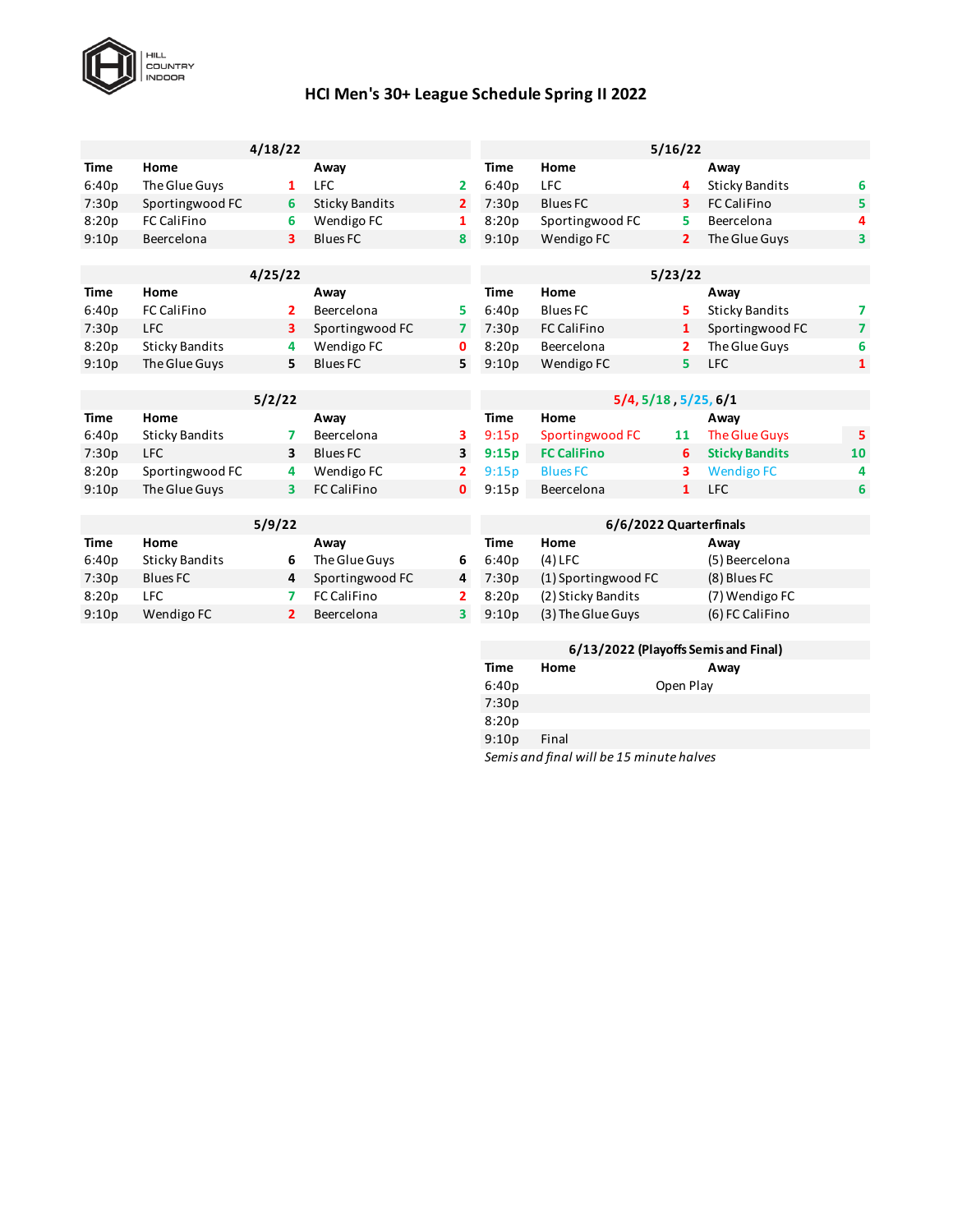

## **HCI Men's 30+ League Schedule Spring II 2022**

|             |                       | 4/18/22        |                       |                |                        |                                       | 5/16/22      |                       |                         |  |  |
|-------------|-----------------------|----------------|-----------------------|----------------|------------------------|---------------------------------------|--------------|-----------------------|-------------------------|--|--|
| Time        | Home                  |                | Away                  |                | Time                   | Home                                  |              | Away                  |                         |  |  |
| 6:40p       | The Glue Guys         | 1              | <b>LFC</b>            | 2              | 6:40p                  | <b>LFC</b>                            | 4            | <b>Sticky Bandits</b> | 6                       |  |  |
| 7:30p       | Sportingwood FC       | 6              | <b>Sticky Bandits</b> | $\overline{2}$ | 7:30p                  | <b>Blues FC</b>                       | 3            | <b>FC CaliFino</b>    | 5                       |  |  |
| 8:20p       | <b>FC CaliFino</b>    | 6              | Wendigo FC            | 1              | 8:20p                  | Sportingwood FC                       | 5            | Beercelona            | 4                       |  |  |
| 9:10p       | Beercelona            | 3              | <b>Blues FC</b>       | 8              | 9:10p                  | Wendigo FC                            | $\mathbf{2}$ | The Glue Guys         | $\overline{\mathbf{3}}$ |  |  |
|             |                       |                |                       |                |                        |                                       |              |                       |                         |  |  |
|             |                       | 4/25/22        |                       |                |                        |                                       | 5/23/22      |                       |                         |  |  |
| <b>Time</b> | Home                  |                | Away                  |                | <b>Time</b>            | Home                                  |              | Away                  |                         |  |  |
| 6:40p       | <b>FC CaliFino</b>    | 2              | Beercelona            | 5.             | 6:40p                  | <b>Blues FC</b>                       | 5            | <b>Sticky Bandits</b> | 7                       |  |  |
| 7:30p       | <b>LFC</b>            | 3              | Sportingwood FC       | 7              | 7:30p                  | <b>FC CaliFino</b>                    | 1            | Sportingwood FC       | $\overline{7}$          |  |  |
| 8:20p       | <b>Sticky Bandits</b> | 4              | Wendigo FC            | 0              | 8:20p                  | Beercelona                            | 2            | The Glue Guys         | 6                       |  |  |
| 9:10p       | The Glue Guys         | 5.             | <b>Blues FC</b>       | 5              | 9:10p                  | Wendigo FC                            | 5            | <b>LFC</b>            | $\mathbf{1}$            |  |  |
|             |                       |                |                       |                |                        |                                       |              |                       |                         |  |  |
|             |                       | 5/2/22         |                       |                | 5/4, 5/18, 5/25, 6/1   |                                       |              |                       |                         |  |  |
| Time        | Home                  |                | Away                  |                | <b>Time</b>            | Home                                  |              | Away                  |                         |  |  |
| 6:40p       | <b>Sticky Bandits</b> | 7              | Beercelona            | з              | 9:15p                  | Sportingwood FC                       | 11           | <b>The Glue Guys</b>  | 5                       |  |  |
| 7:30p       | <b>LFC</b>            | 3              | <b>Blues FC</b>       | 3              | 9:15p                  | <b>FC CaliFino</b>                    | 6            | <b>Sticky Bandits</b> | 10                      |  |  |
| 8:20p       | Sportingwood FC       | 4              | Wendigo FC            | 2              | 9:15p                  | <b>Blues FC</b>                       | 3            | <b>Wendigo FC</b>     | 4                       |  |  |
| 9:10p       | The Glue Guys         | 3.             | <b>FC CaliFino</b>    | $\mathbf{0}$   | 9:15p                  | Beercelona                            | 1            | <b>LFC</b>            | 6                       |  |  |
|             |                       |                |                       |                |                        |                                       |              |                       |                         |  |  |
|             |                       | 5/9/22         |                       |                | 6/6/2022 Quarterfinals |                                       |              |                       |                         |  |  |
| <b>Time</b> | Home                  |                | Away                  |                | Time                   | Home                                  |              | Away                  |                         |  |  |
| 6:40p       | <b>Sticky Bandits</b> | 6              | The Glue Guys         | 6              | 6:40p                  | $(4)$ LFC                             |              | (5) Beercelona        |                         |  |  |
| 7:30p       | <b>Blues FC</b>       | 4              | Sportingwood FC       | 4              | 7:30p                  | (1) Sportingwood FC                   |              | (8) Blues FC          |                         |  |  |
| 8:20p       | <b>LFC</b>            | 7              | <b>FC CaliFino</b>    | 2              | 8:20p                  | (2) Sticky Bandits                    |              | (7) Wendigo FC        |                         |  |  |
| 9:10p       | Wendigo FC            | $\overline{2}$ | Beercelona            | 3              | 9:10p                  | (3) The Glue Guys                     |              | (6) FC CaliFino       |                         |  |  |
|             |                       |                |                       |                |                        |                                       |              |                       |                         |  |  |
|             |                       |                |                       |                |                        | Clan langa (playette Camic and Final) |              |                       |                         |  |  |

| 6/13/2022 (Playoffs Semis and Final)     |       |           |      |  |  |  |  |  |
|------------------------------------------|-------|-----------|------|--|--|--|--|--|
| Time                                     | Home  |           | Away |  |  |  |  |  |
| 6:40p                                    |       | Open Play |      |  |  |  |  |  |
| 7:30p                                    |       |           |      |  |  |  |  |  |
| 8:20p                                    |       |           |      |  |  |  |  |  |
| 9:10p                                    | Final |           |      |  |  |  |  |  |
| Semis and final will be 15 minute halves |       |           |      |  |  |  |  |  |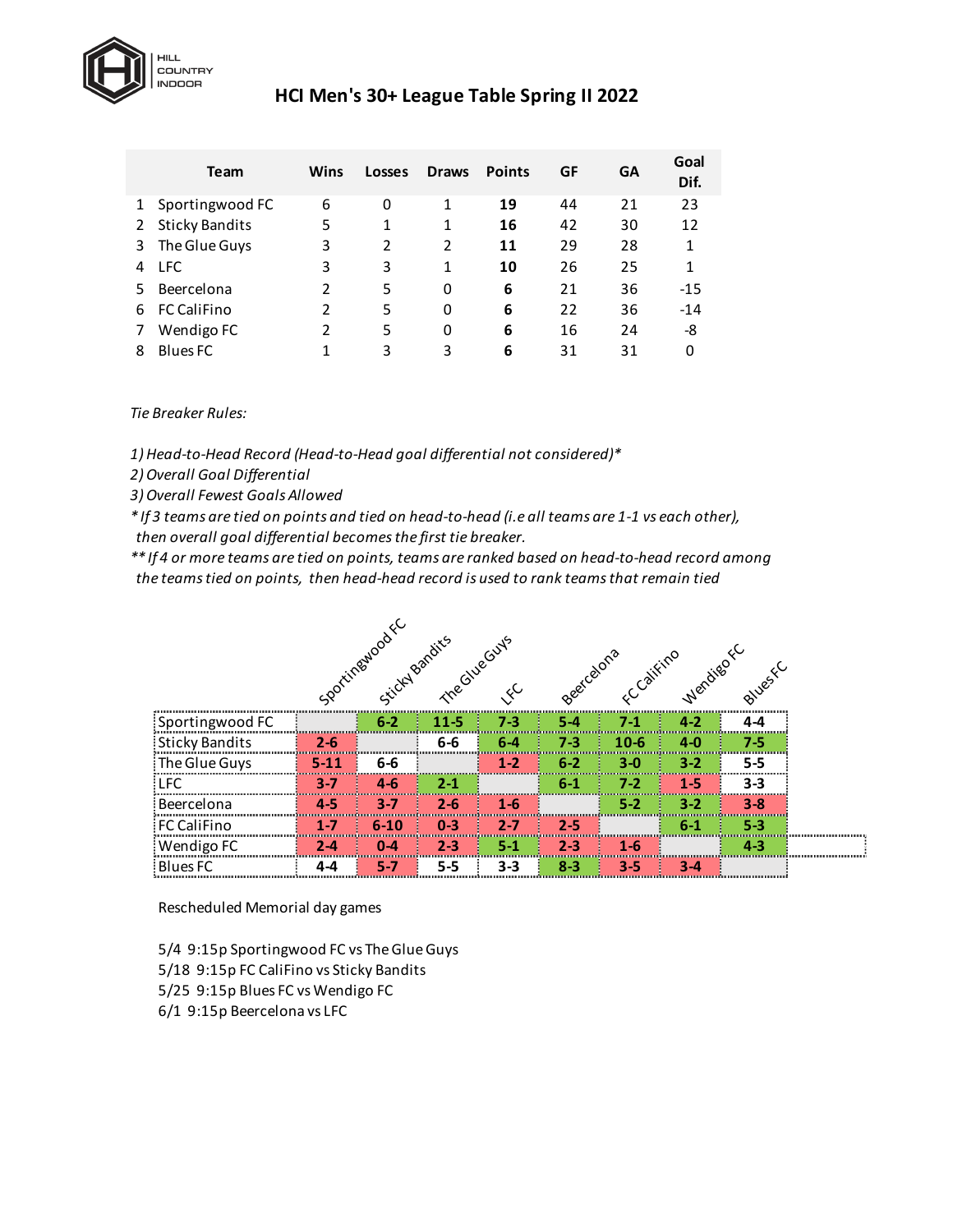

## **HCI Men's 30+ League Table Spring II 2022**

|   | <b>Team</b>           | Wins | <b>Losses</b> | <b>Draws</b>   | <b>Points</b> | GF | GΑ | Goal<br>Dif. |
|---|-----------------------|------|---------------|----------------|---------------|----|----|--------------|
| 1 | Sportingwood FC       | 6    | 0             | 1              | 19            | 44 | 21 | 23           |
|   | <b>Sticky Bandits</b> | 5    | 1             | 1              | 16            | 42 | 30 | 12           |
| 3 | The Glue Guys         | 3    | $\mathfrak z$ | $\overline{2}$ | 11            | 29 | 28 | 1            |
| 4 | <b>LFC</b>            | 3    | 3             | 1              | 10            | 26 | 25 | 1            |
| 5 | Beercelona            | 2    | 5             | 0              | 6             | 21 | 36 | $-15$        |
| 6 | <b>FC CaliFino</b>    | 2    | 5             | 0              | 6             | 22 | 36 | $-14$        |
|   | Wendigo FC            | 2    | 5             | 0              | 6             | 16 | 24 | -8           |
| 8 | <b>Blues FC</b>       |      | 3             | 3              | 6             | 31 | 31 | 0            |

*Tie Breaker Rules:*

*1) Head-to-Head Record (Head-to-Head goal differential not considered)\**

*2) Overall Goal Differential*

*3) Overall Fewest Goals Allowed*

*\* If 3 teams are tied on points and tied on head-to-head (i.e all teams are 1-1 vs each other), then overall goal differential becomes the first tie breaker.* 

*\*\* If 4 or more teams are tied on points, teams are ranked based on head-to-head record among the teams tied on points, then head-head record is used to rank teams that remain tied*

|                       | Sportingstock C Bandits Counts<br>Beet celons c califino wenting fc |                |         |         |         |         |         |         |
|-----------------------|---------------------------------------------------------------------|----------------|---------|---------|---------|---------|---------|---------|
|                       |                                                                     |                |         |         |         |         |         |         |
| Sportingwood FC       |                                                                     | $6-2$          | $11-5$  | $7 - 3$ | $5 - 4$ | $7-1$   | $4 - 2$ | $4 - 4$ |
| <b>Sticky Bandits</b> | $2 - 6$                                                             |                | $6-6$   | $6 - 4$ | $7 - 3$ | $10-6$  | $4 - 0$ | $7 - 5$ |
| : The Glue Guys       | $5 - 11$                                                            | $6-6$          |         | $1 - 2$ | $6 - 2$ | $3-0$   | $3 - 2$ | $5 - 5$ |
| <b>LFC</b>            | 3-7                                                                 | $4 - 6$        | $2 - 1$ |         | $6 - 1$ | $7 - 2$ | $1 - 5$ | 3-3     |
| Beercelona            | 4-5                                                                 | $3 - 7$        | $2 - 6$ | $1 - 6$ |         | $5 - 2$ | $3 - 2$ | $3 - 8$ |
| FC CaliFino           | $1 - 7$                                                             | I,<br>$6 - 10$ | $0 - 3$ | $2 - 7$ | $2 - 5$ |         | $6 - 1$ | 5-3     |
| Wendigo FC            | 2-4                                                                 | 0-4            | $2 - 3$ | $5 - 1$ | $2 - 3$ | $1 - 6$ |         | $4 - 3$ |
| <b>Blues FC</b>       | 4-4                                                                 | 5-7            | $5 - 5$ | $3 - 3$ | $8 - 3$ | $3 - 5$ | $3 - 4$ |         |

Rescheduled Memorial day games

5/4 9:15p Sportingwood FC vs The Glue Guys 5/18 9:15p FC CaliFino vs Sticky Bandits 5/25 9:15p Blues FC vs Wendigo FC

6/1 9:15p Beercelona vs LFC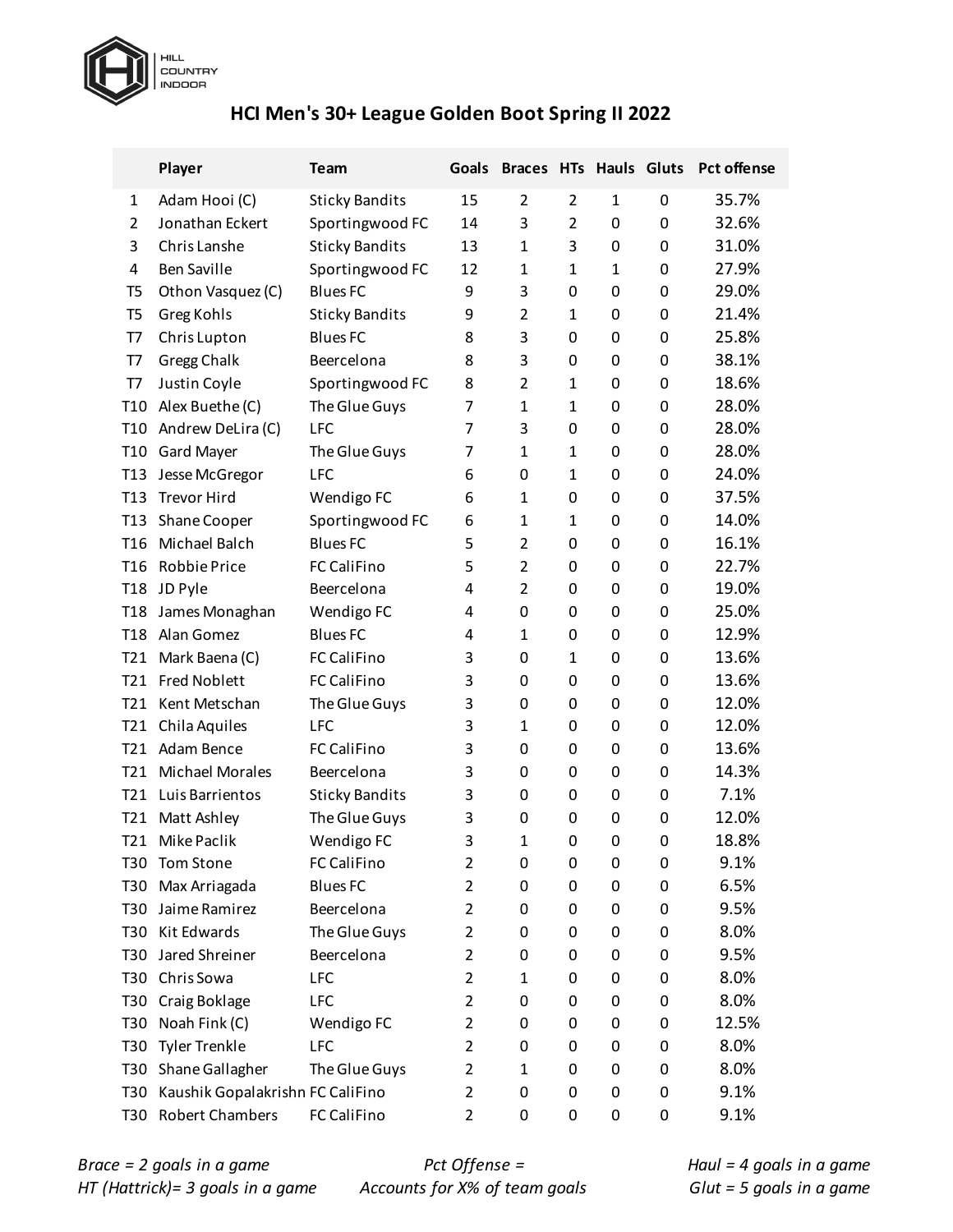

# **HCI Men's 30+ League Golden Boot Spring II 2022**

|                 | Player                           | Team                  | Goals          |                |                |              |             | Braces HTs Hauls Gluts Pct offense |
|-----------------|----------------------------------|-----------------------|----------------|----------------|----------------|--------------|-------------|------------------------------------|
| 1               | Adam Hooi (C)                    | <b>Sticky Bandits</b> | 15             | $\overline{2}$ | 2              | $\mathbf{1}$ | 0           | 35.7%                              |
| $\overline{2}$  | Jonathan Eckert                  | Sportingwood FC       | 14             | 3              | $\overline{2}$ | 0            | $\mathbf 0$ | 32.6%                              |
| 3               | Chris Lanshe                     | <b>Sticky Bandits</b> | 13             | 1              | 3              | 0            | 0           | 31.0%                              |
| 4               | <b>Ben Saville</b>               | Sportingwood FC       | 12             | 1              | $\mathbf{1}$   | $\mathbf{1}$ | 0           | 27.9%                              |
| T5              | Othon Vasquez (C)                | <b>Blues FC</b>       | 9              | 3              | 0              | 0            | 0           | 29.0%                              |
| T <sub>5</sub>  | Greg Kohls                       | <b>Sticky Bandits</b> | 9              | $\overline{2}$ | $\mathbf{1}$   | 0            | 0           | 21.4%                              |
| T7              | Chris Lupton                     | <b>Blues FC</b>       | 8              | 3              | 0              | 0            | 0           | 25.8%                              |
| T7              | Gregg Chalk                      | Beercelona            | 8              | 3              | 0              | 0            | 0           | 38.1%                              |
| T7              | Justin Coyle                     | Sportingwood FC       | 8              | $\overline{2}$ | $\mathbf{1}$   | 0            | 0           | 18.6%                              |
| T <sub>10</sub> | Alex Buethe (C)                  | The Glue Guys         | 7              | $\mathbf{1}$   | $\mathbf{1}$   | 0            | 0           | 28.0%                              |
| T <sub>10</sub> | Andrew DeLira (C)                | <b>LFC</b>            | 7              | 3              | 0              | 0            | 0           | 28.0%                              |
| T <sub>10</sub> | Gard Mayer                       | The Glue Guys         | 7              | $\mathbf{1}$   | 1              | 0            | 0           | 28.0%                              |
| <b>T13</b>      | Jesse McGregor                   | <b>LFC</b>            | 6              | 0              | $\mathbf{1}$   | 0            | 0           | 24.0%                              |
| T <sub>13</sub> | <b>Trevor Hird</b>               | Wendigo FC            | 6              | $\mathbf{1}$   | 0              | 0            | 0           | 37.5%                              |
| T13             | Shane Cooper                     | Sportingwood FC       | 6              | 1              | $\mathbf{1}$   | 0            | 0           | 14.0%                              |
| T <sub>16</sub> | Michael Balch                    | <b>Blues FC</b>       | 5              | $\overline{2}$ | 0              | 0            | 0           | 16.1%                              |
| T <sub>16</sub> | <b>Robbie Price</b>              | <b>FC CaliFino</b>    | 5              | $\overline{2}$ | 0              | 0            | 0           | 22.7%                              |
| <b>T18</b>      | JD Pyle                          | Beercelona            | 4              | $\overline{2}$ | 0              | 0            | 0           | 19.0%                              |
| <b>T18</b>      | James Monaghan                   | Wendigo FC            | 4              | 0              | 0              | 0            | 0           | 25.0%                              |
| <b>T18</b>      | Alan Gomez                       | <b>Blues FC</b>       | 4              | $\mathbf{1}$   | 0              | 0            | 0           | 12.9%                              |
| T <sub>21</sub> | Mark Baena (C)                   | <b>FC CaliFino</b>    | 3              | 0              | $\mathbf{1}$   | 0            | 0           | 13.6%                              |
| T <sub>21</sub> | <b>Fred Noblett</b>              | FC CaliFino           | 3              | 0              | 0              | 0            | 0           | 13.6%                              |
| T <sub>21</sub> | Kent Metschan                    | The Glue Guys         | 3              | 0              | 0              | 0            | 0           | 12.0%                              |
| T21             | Chila Aquiles                    | <b>LFC</b>            | 3              | 1              | 0              | 0            | 0           | 12.0%                              |
| T21             | Adam Bence                       | <b>FC CaliFino</b>    | 3              | 0              | 0              | 0            | 0           | 13.6%                              |
| T <sub>21</sub> | <b>Michael Morales</b>           | Beercelona            | 3              | 0              | 0              | 0            | 0           | 14.3%                              |
| T21             | Luis Barrientos                  | <b>Sticky Bandits</b> | 3              | 0              | 0              | 0            | 0           | 7.1%                               |
| T <sub>21</sub> | Matt Ashley                      | The Glue Guys         | 3              | 0              | 0              | 0            | 0           | 12.0%                              |
| T <sub>21</sub> | Mike Paclik                      | Wendigo FC            | 3              | $\mathbf{1}$   | 0              | $\mathbf 0$  | 0           | 18.8%                              |
| T30             | Tom Stone                        | FC CaliFino           | $\overline{2}$ | 0              | 0              | 0            | $\mathbf 0$ | 9.1%                               |
| T <sub>30</sub> | Max Arriagada                    | <b>Blues FC</b>       | $\overline{2}$ | 0              | 0              | 0            | 0           | 6.5%                               |
| T30             | Jaime Ramirez                    | Beercelona            | $\overline{2}$ | 0              | 0              | 0            | 0           | 9.5%                               |
| T30             | Kit Edwards                      | The Glue Guys         | $\overline{2}$ | 0              | 0              | 0            | 0           | 8.0%                               |
| T30             | Jared Shreiner                   | Beercelona            | $\overline{2}$ | 0              | 0              | 0            | 0           | 9.5%                               |
| <b>T30</b>      | Chris Sowa                       | LFC                   | $\overline{2}$ | 1              | 0              | 0            | 0           | 8.0%                               |
| T30             | Craig Boklage                    | LFC                   | $\overline{2}$ | 0              | 0              | 0            | 0           | 8.0%                               |
| T30             | Noah Fink (C)                    | Wendigo FC            | $\overline{2}$ | 0              | 0              | 0            | 0           | 12.5%                              |
| T30             | <b>Tyler Trenkle</b>             | <b>LFC</b>            | $\overline{2}$ | 0              | 0              | 0            | 0           | 8.0%                               |
| T30             | Shane Gallagher                  | The Glue Guys         | $\overline{2}$ | 1              | 0              | 0            | 0           | 8.0%                               |
| T30             | Kaushik Gopalakrishn FC CaliFino |                       | $\overline{2}$ | 0              | 0              | 0            | 0           | 9.1%                               |
| T30             | <b>Robert Chambers</b>           | FC CaliFino           | 2              | 0              | 0              | 0            | 0           | 9.1%                               |

*Pct Offense = Accounts for X% of team goals* *Haul = 4 goals in a game Glut = 5 goals in a game*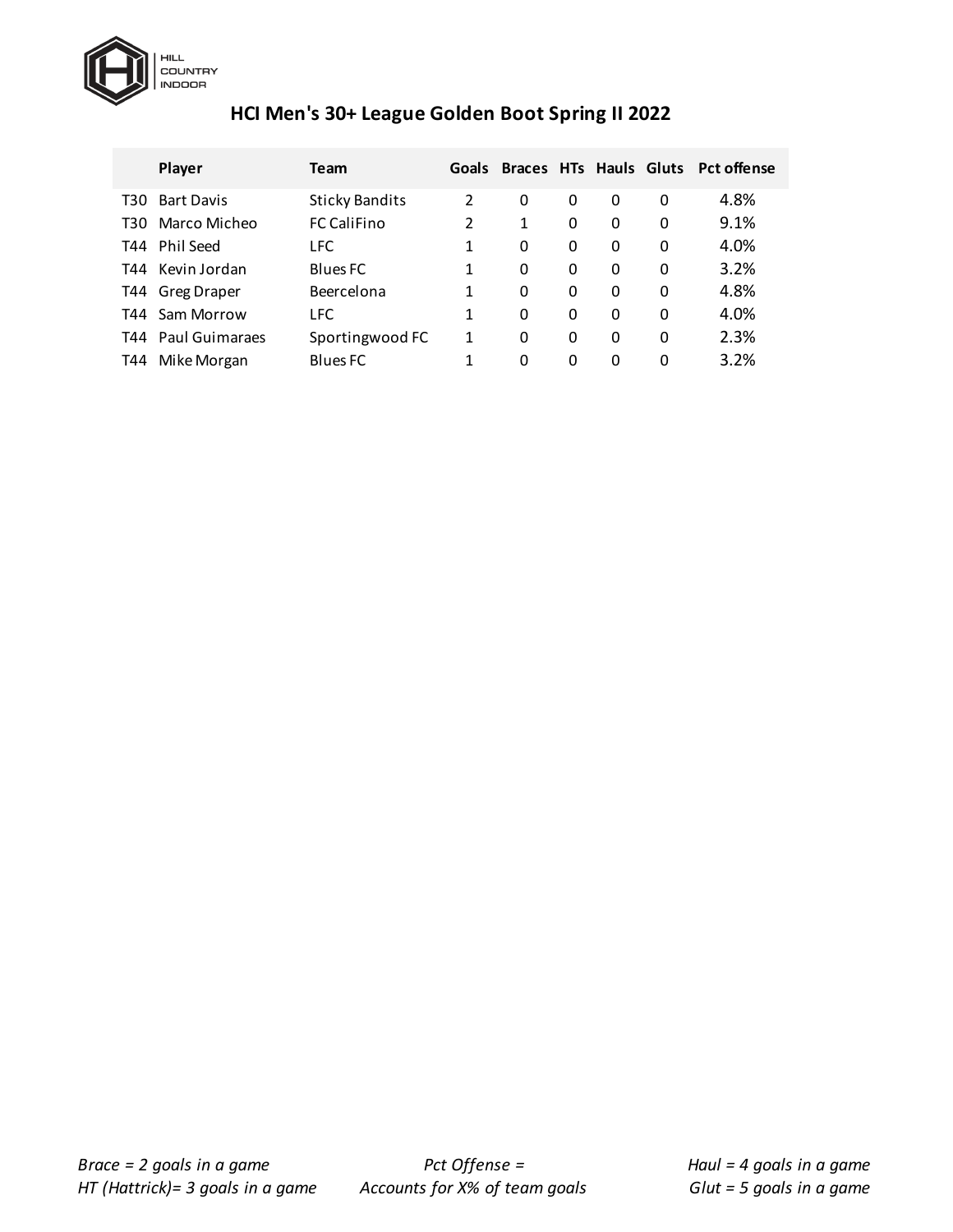

# **HCI Men's 30+ League Golden Boot Spring II 2022**

|       | Player             | Team                  | Goals         | Braces HTs Hauls Gluts |   |   |          | <b>Pct offense</b> |
|-------|--------------------|-----------------------|---------------|------------------------|---|---|----------|--------------------|
| T30   | <b>Bart Davis</b>  | <b>Sticky Bandits</b> | $\mathcal{P}$ | 0                      | 0 | 0 | 0        | 4.8%               |
| T30.  | Marco Micheo       | <b>FC CaliFino</b>    | 2             | 1                      | 0 | 0 | 0        | 9.1%               |
|       | T44 Phil Seed      | <b>LFC</b>            | 1             | 0                      | 0 | 0 | 0        | 4.0%               |
|       | T44 Kevin Jordan   | <b>Blues FC</b>       | 1             | 0                      | 0 | 0 | 0        | 3.2%               |
|       | T44 Greg Draper    | Beercelona            | 1             | 0                      | 0 | 0 | 0        | 4.8%               |
| T44 I | Sam Morrow         | <b>LFC</b>            | 1             | 0                      | 0 | 0 | 0        | 4.0%               |
|       | T44 Paul Guimaraes | Sportingwood FC       | 1             | 0                      | 0 | 0 | 0        | 2.3%               |
| T44   | Mike Morgan        | <b>Blues FC</b>       | 1             | 0                      | 0 | 0 | $\Omega$ | 3.2%               |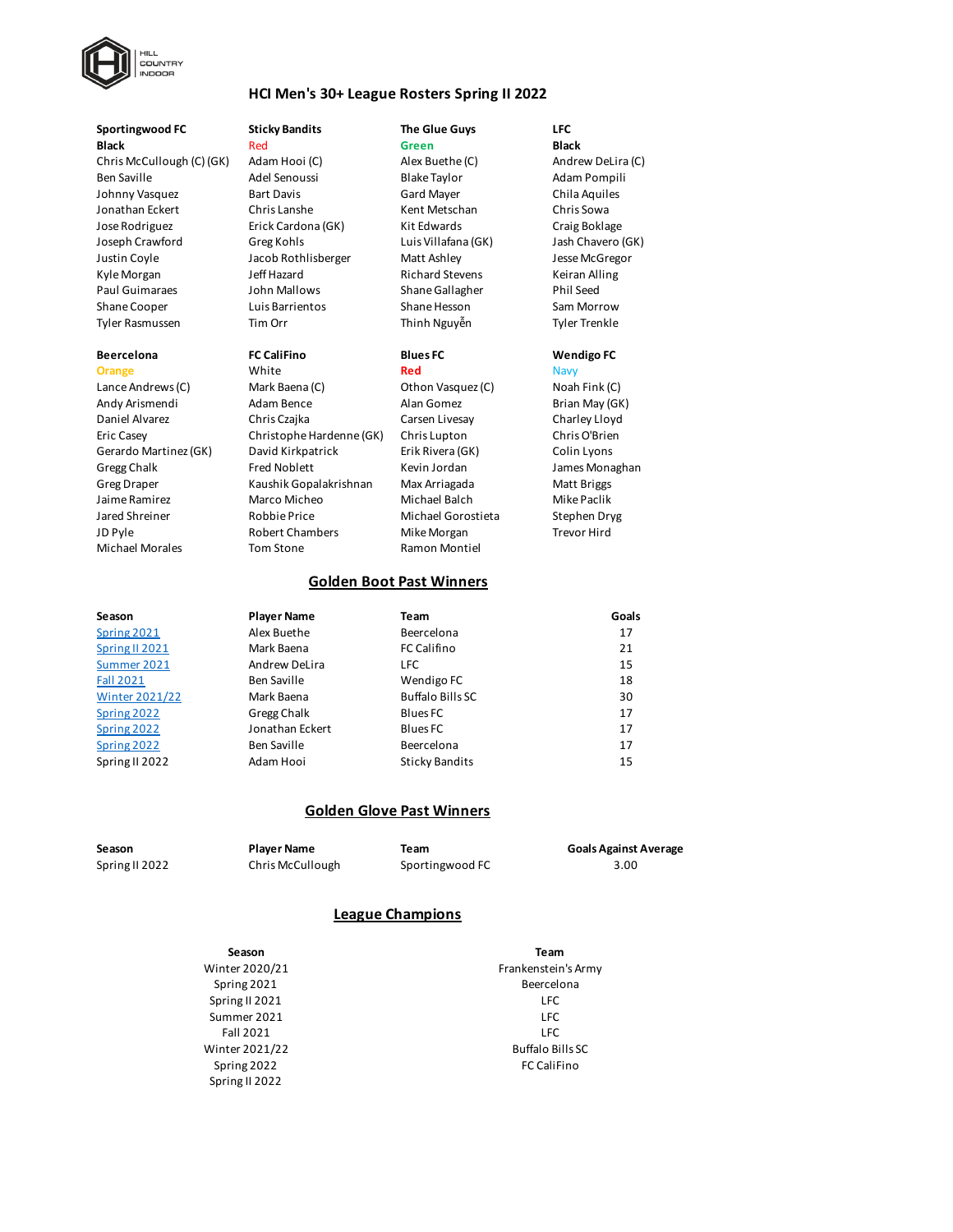

### **HCI Men's 30+ League Rosters Spring II 2022**

### **Sportingwood FC Sticky Bandits The Glue Guys LFC Black** Red **Green Black**

Chris McCullough (C) (GK) Adam Hooi (C) Alex Buethe (C) Andrew DeLira (C) Ben Saville Adel Senoussi Blake Taylor Adam Pompili Johnny Vasquez **Bart Davis** Gard Mayer Chila Aquiles Jonathan Eckert Chris Lanshe Kent Metschan Chris Sowa Jose Rodriguez Erick Cardona (GK) Kit Edwards Craig Boklage Joseph Crawford Greg Kohls Luis Villafana (GK) Jash Chavero (GK) Justin Coyle Jacob Rothlisberger Matt Ashley Jesse McGregor Kyle Morgan Teff Hazard **Gramma** Richard Stevens Keiran Alling Paul Guimaraes John Mallows Shane Gallagher Phil Seed Shane Cooper Luis Barrientos Shane Hesson Sam Morrow Tyler Rasmussen Tim Orr Thinh Nguyễn Tyler Trenkle

Lance Andrews (C) Mark Baena (C) Othon Vasquez (C) Noah Fink (C) Andy Arismendi Adam Bence Alan Gomez Brian May (GK) Daniel Alvarez Chris Czajka Carsen Livesay Charley Lloyd Eric Casey Christophe Hardenne (GK) Chris Lupton Chris O'Brien Gerardo Martinez (GK) David Kirkpatrick Erik Rivera (GK) Colin Lyons Gregg Chalk **Fred Noblett** Kevin Jordan James Monaghan Greg Draper **Kaushik Gopalakrishnan** Max Arriagada Matt Briggs Jaime Ramirez Marco Micheo Michael Balch Mike Paclik Jared Shreiner Robbie Price Michael Gorostieta Stephen Dryg JD Pyle **Robert Chambers** Mike Morgan Trevor Hird Morgan Michael Morales **Tom Stone Tom Stone** Ramon Montiel

**Orange** White **Red** Navy

### **Beercelona FC CaliFino Blues FC Wendigo FC**

### **Golden Boot Past Winners**

| Season                | <b>Player Name</b> | Team                    | Goals |
|-----------------------|--------------------|-------------------------|-------|
| Spring 2021           | Alex Buethe        | Beercelona              | 17    |
| Spring II 2021        | Mark Baena         | <b>FC Califino</b>      | 21    |
| Summer 2021           | Andrew DeLira      | <b>LFC</b>              | 15    |
| <b>Fall 2021</b>      | Ben Saville        | Wendigo FC              | 18    |
| <b>Winter 2021/22</b> | Mark Baena         | <b>Buffalo Bills SC</b> | 30    |
| Spring 2022           | Gregg Chalk        | Blues FC                | 17    |
| Spring 2022           | Jonathan Eckert    | <b>Blues FC</b>         | 17    |
| Spring 2022           | <b>Ben Saville</b> | Beercelona              | 17    |
| Spring II 2022        | Adam Hooi          | <b>Sticky Bandits</b>   | 15    |

### **Golden Glove Past Winners**

**Season Player Name Team Goals Against Average** Spring II 2022 Chris McCullough Sportingwood FC 3.00

### **League Champions**

Spring II 2022 Summer 2021 LFC Fall 2021 LFC Spring II 2021 LFC **Season Team**

Spring 2022 **FC Califino** Winter 2021/22 Buffalo Bills SC Winter 2020/21 **Frankenstein's Army** Spring 2021 **Beercelona**